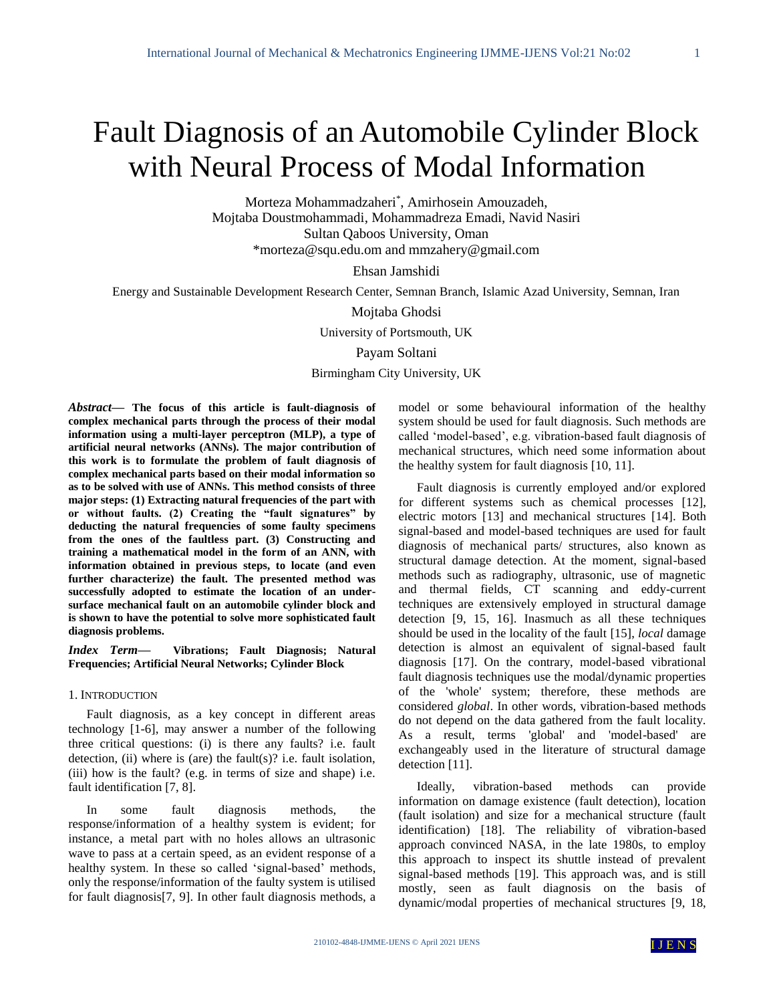# Fault Diagnosis of an Automobile Cylinder Block with Neural Process of Modal Information

Morteza Mohammadzaheri\* , Amirhosein Amouzadeh, Mojtaba Doustmohammadi, Mohammadreza Emadi, Navid Nasiri Sultan Qaboos University, Oman \*morteza@squ.edu.om and mmzahery@gmail.com

Ehsan Jamshidi

Energy and Sustainable Development Research Center, Semnan Branch, Islamic Azad University, Semnan, Iran

Mojtaba Ghodsi

University of Portsmouth, UK

Payam Soltani

Birmingham City University, UK

*Abstract***— The focus of this article is fault-diagnosis of complex mechanical parts through the process of their modal information using a multi-layer perceptron (MLP), a type of artificial neural networks (ANNs). The major contribution of this work is to formulate the problem of fault diagnosis of complex mechanical parts based on their modal information so as to be solved with use of ANNs. This method consists of three major steps: (1) Extracting natural frequencies of the part with or without faults. (2) Creating the "fault signatures" by deducting the natural frequencies of some faulty specimens from the ones of the faultless part. (3) Constructing and training a mathematical model in the form of an ANN, with information obtained in previous steps, to locate (and even further characterize) the fault. The presented method was successfully adopted to estimate the location of an undersurface mechanical fault on an automobile cylinder block and is shown to have the potential to solve more sophisticated fault diagnosis problems.**

*Index Term—* **Vibrations; Fault Diagnosis; Natural Frequencies; Artificial Neural Networks; Cylinder Block**

## 1. INTRODUCTION

Fault diagnosis, as a key concept in different areas technology [1-6], may answer a number of the following three critical questions: (i) is there any faults? i.e. fault detection, (ii) where is (are) the fault(s)? i.e. fault isolation, (iii) how is the fault? (e.g. in terms of size and shape) i.e. fault identification [7, 8].

In some fault diagnosis methods, the response/information of a healthy system is evident; for instance, a metal part with no holes allows an ultrasonic wave to pass at a certain speed, as an evident response of a healthy system. In these so called 'signal-based' methods, only the response/information of the faulty system is utilised for fault diagnosis[7, 9]. In other fault diagnosis methods, a

model or some behavioural information of the healthy system should be used for fault diagnosis. Such methods are called 'model-based', e.g. vibration-based fault diagnosis of mechanical structures, which need some information about the healthy system for fault diagnosis [10, 11].

Fault diagnosis is currently employed and/or explored for different systems such as chemical processes [12], electric motors [13] and mechanical structures [14]. Both signal-based and model-based techniques are used for fault diagnosis of mechanical parts/ structures, also known as structural damage detection. At the moment, signal-based methods such as radiography, ultrasonic, use of magnetic and thermal fields, CT scanning and eddy-current techniques are extensively employed in structural damage detection [9, 15, 16]. Inasmuch as all these techniques should be used in the locality of the fault [15], *local* damage detection is almost an equivalent of signal-based fault diagnosis [17]. On the contrary, model-based vibrational fault diagnosis techniques use the modal/dynamic properties of the 'whole' system; therefore, these methods are considered *global*. In other words, vibration-based methods do not depend on the data gathered from the fault locality. As a result, terms 'global' and 'model-based' are exchangeably used in the literature of structural damage detection [11].

Ideally, vibration-based methods can provide information on damage existence (fault detection), location (fault isolation) and size for a mechanical structure (fault identification) [18]. The reliability of vibration-based approach convinced NASA, in the late 1980s, to employ this approach to inspect its shuttle instead of prevalent signal-based methods [19]. This approach was, and is still mostly, seen as fault diagnosis on the basis of dynamic/modal properties of mechanical structures [9, 18,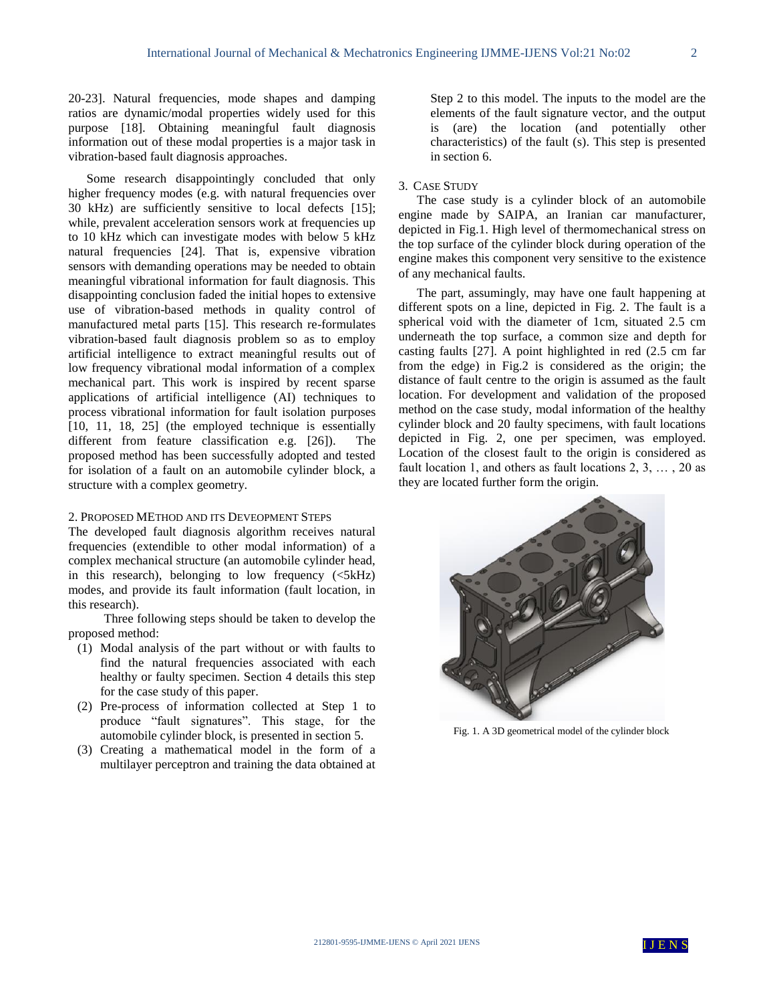20-23]. Natural frequencies, mode shapes and damping ratios are dynamic/modal properties widely used for this purpose [18]. Obtaining meaningful fault diagnosis information out of these modal properties is a major task in vibration-based fault diagnosis approaches.

Some research disappointingly concluded that only higher frequency modes (e.g. with natural frequencies over 30 kHz) are sufficiently sensitive to local defects [15]; while, prevalent acceleration sensors work at frequencies up to 10 kHz which can investigate modes with below 5 kHz natural frequencies [24]. That is, expensive vibration sensors with demanding operations may be needed to obtain meaningful vibrational information for fault diagnosis. This disappointing conclusion faded the initial hopes to extensive use of vibration-based methods in quality control of manufactured metal parts [15]. This research re-formulates vibration-based fault diagnosis problem so as to employ artificial intelligence to extract meaningful results out of low frequency vibrational modal information of a complex mechanical part. This work is inspired by recent sparse applications of artificial intelligence (AI) techniques to process vibrational information for fault isolation purposes [10, 11, 18, 25] (the employed technique is essentially different from feature classification e.g. [26]). The proposed method has been successfully adopted and tested for isolation of a fault on an automobile cylinder block, a structure with a complex geometry.

## 2. PROPOSED METHOD AND ITS DEVEOPMENT STEPS

The developed fault diagnosis algorithm receives natural frequencies (extendible to other modal information) of a complex mechanical structure (an automobile cylinder head, in this research), belonging to low frequency  $( $5kHz$ )$ modes, and provide its fault information (fault location, in this research).

Three following steps should be taken to develop the proposed method:

- (1) Modal analysis of the part without or with faults to find the natural frequencies associated with each healthy or faulty specimen. Section 4 details this step for the case study of this paper.
- (2) Pre-process of information collected at Step 1 to produce "fault signatures". This stage, for the automobile cylinder block, is presented in section 5.
- (3) Creating a mathematical model in the form of a multilayer perceptron and training the data obtained at

Step 2 to this model. The inputs to the model are the elements of the fault signature vector, and the output is (are) the location (and potentially other characteristics) of the fault (s). This step is presented in section 6.

## 3. CASE STUDY

The case study is a cylinder block of an automobile engine made by SAIPA, an Iranian car manufacturer, depicted in Fig.1. High level of thermomechanical stress on the top surface of the cylinder block during operation of the engine makes this component very sensitive to the existence of any mechanical faults.

The part, assumingly, may have one fault happening at different spots on a line, depicted in Fig. 2. The fault is a spherical void with the diameter of 1cm, situated 2.5 cm underneath the top surface, a common size and depth for casting faults [27]. A point highlighted in red (2.5 cm far from the edge) in Fig.2 is considered as the origin; the distance of fault centre to the origin is assumed as the fault location. For development and validation of the proposed method on the case study, modal information of the healthy cylinder block and 20 faulty specimens, with fault locations depicted in Fig. 2, one per specimen, was employed. Location of the closest fault to the origin is considered as fault location 1, and others as fault locations 2, 3, … , 20 as they are located further form the origin.



Fig. 1. A 3D geometrical model of the cylinder block

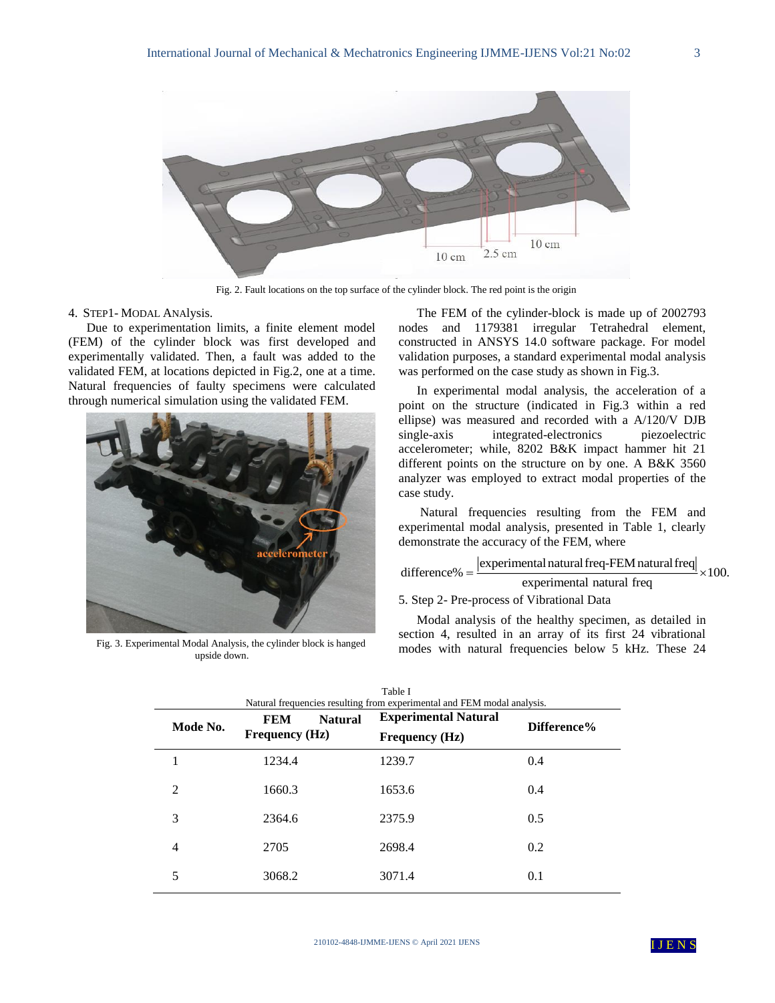

Fig. 2. Fault locations on the top surface of the cylinder block. The red point is the origin

## 4. STEP1- MODAL ANAlysis.

Due to experimentation limits, a finite element model (FEM) of the cylinder block was first developed and experimentally validated. Then, a fault was added to the validated FEM, at locations depicted in Fig.2, one at a time. Natural frequencies of faulty specimens were calculated through numerical simulation using the validated FEM.



Fig. 3. Experimental Modal Analysis, the cylinder block is hanged upside down.

The FEM of the cylinder-block is made up of 2002793 nodes and 1179381 irregular Tetrahedral element, constructed in ANSYS 14.0 software package. For model validation purposes, a standard experimental modal analysis was performed on the case study as shown in Fig.3.

In experimental modal analysis, the acceleration of a point on the structure (indicated in Fig.3 within a red ellipse) was measured and recorded with a A/120/V DJB single-axis integrated-electronics piezoelectric accelerometer; while, 8202 B&K impact hammer hit 21 different points on the structure on by one. A B&K 3560 analyzer was employed to extract modal properties of the case study.

Natural frequencies resulting from the FEM and experimental modal analysis, presented in Table 1, clearly demonstrate the accuracy of the FEM, where

experimental natural freq-FEM natural freq difference%  $=\frac{1}{1}$   $\times 100$ . experimental natural freq  $:100.$ 

# 5. Step 2- Pre-process of Vibrational Data

Modal analysis of the healthy specimen, as detailed in section 4, resulted in an array of its first 24 vibrational modes with natural frequencies below 5 kHz. These 24

| Mode No. | <b>FEM</b><br><b>Natural</b> | <b>Experimental Natural</b> | Difference% |
|----------|------------------------------|-----------------------------|-------------|
|          | <b>Frequency</b> (Hz)        | <b>Frequency (Hz)</b>       |             |
|          | 1234.4                       | 1239.7                      | 0.4         |
| 2        | 1660.3                       | 1653.6                      | 0.4         |
| 3        | 2364.6                       | 2375.9                      | 0.5         |
| 4        | 2705                         | 2698.4                      | 0.2         |
| 5        | 3068.2                       | 3071.4                      | 0.1         |

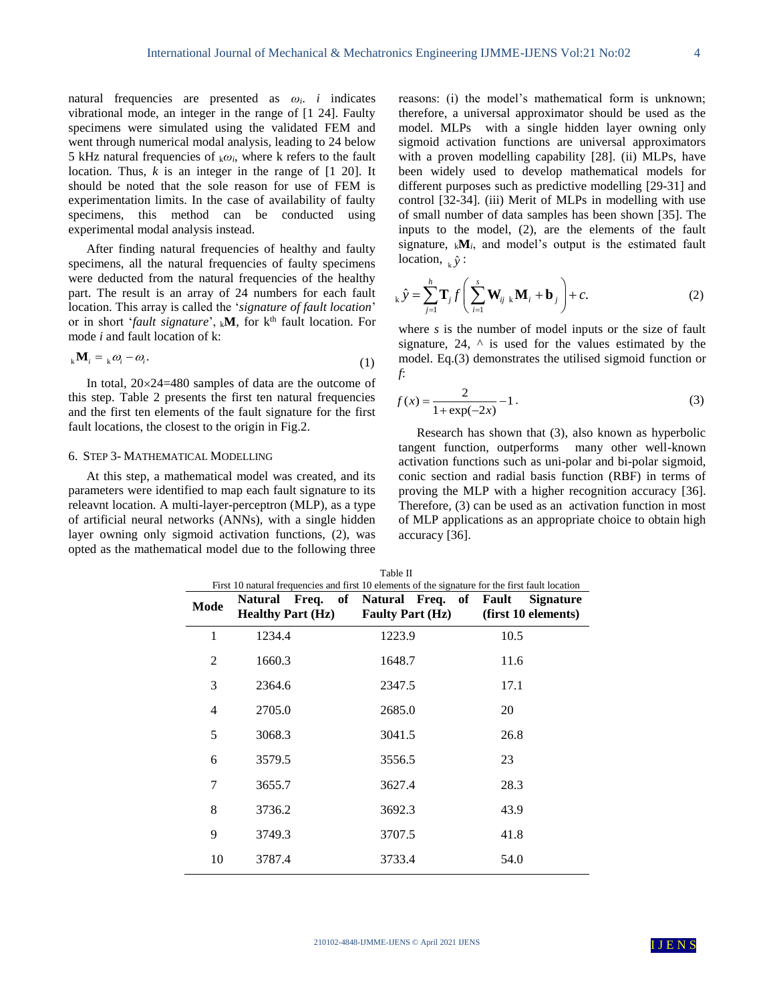natural frequencies are presented as *ωi*. *i* indicates vibrational mode, an integer in the range of [1 24]. Faulty specimens were simulated using the validated FEM and went through numerical modal analysis, leading to 24 below 5 kHz natural frequencies of  $k\omega_i$ , where k refers to the fault location. Thus, *k* is an integer in the range of [1 20]. It should be noted that the sole reason for use of FEM is experimentation limits. In the case of availability of faulty specimens, this method can be conducted using experimental modal analysis instead.

After finding natural frequencies of healthy and faulty specimens, all the natural frequencies of faulty specimens were deducted from the natural frequencies of the healthy part. The result is an array of 24 numbers for each fault location. This array is called the '*signature of fault location*' or in short '*fault signature*', <sub>k</sub>M, for k<sup>th</sup> fault location. For mode *i* and fault location of k:

$$
{}_{k}\mathbf{M}_{i} = {}_{k}\omega_{i} - \omega_{i}.\tag{1}
$$

In total,  $20 \times 24 = 480$  samples of data are the outcome of this step. Table 2 presents the first ten natural frequencies and the first ten elements of the fault signature for the first fault locations, the closest to the origin in Fig.2.

#### 6. STEP 3- MATHEMATICAL MODELLING

At this step, a mathematical model was created, and its parameters were identified to map each fault signature to its releavnt location. A multi-layer-perceptron (MLP), as a type of artificial neural networks (ANNs), with a single hidden layer owning only sigmoid activation functions, (2), was opted as the mathematical model due to the following three reasons: (i) the model's mathematical form is unknown; therefore, a universal approximator should be used as the model. MLPs with a single hidden layer owning only sigmoid activation functions are universal approximators with a proven modelling capability [28]. (ii) MLPs, have been widely used to develop mathematical models for different purposes such as predictive modelling [29-31] and control [32-34]. (iii) Merit of MLPs in modelling with use of small number of data samples has been shown [35]. The inputs to the model, (2), are the elements of the fault signature, k**M***i*, and model's output is the estimated fault location,  $\hat{y}$ :

$$
_{k}\hat{y} = \sum_{j=1}^{h} \mathbf{T}_{j} f\left(\sum_{i=1}^{s} \mathbf{W}_{ij \, k} \mathbf{M}_{i} + \mathbf{b}_{j}\right) + c.
$$
 (2)

where *s* is the number of model inputs or the size of fault signature, 24,  $\land$  is used for the values estimated by the model. Eq.(3) demonstrates the utilised sigmoid function or *f*:

$$
f(x) = \frac{2}{1 + \exp(-2x)} - 1.
$$
 (3)

Research has shown that (3), also known as hyperbolic tangent function, outperforms many other well-known activation functions such as uni-polar and bi-polar sigmoid, conic section and radial basis function (RBF) in terms of proving the MLP with a higher recognition accuracy [36]. Therefore, (3) can be used as an activation function in most of MLP applications as an appropriate choice to obtain high accuracy [36].

| Table II<br>First 10 natural frequencies and first 10 elements of the signature for the first fault location |                                                                     |                         |                                         |  |
|--------------------------------------------------------------------------------------------------------------|---------------------------------------------------------------------|-------------------------|-----------------------------------------|--|
| Mode                                                                                                         | Natural Freq. of Natural Freq. of Fault<br><b>Healthy Part (Hz)</b> | <b>Faulty Part (Hz)</b> | <b>Signature</b><br>(first 10 elements) |  |
| $\mathbf{1}$                                                                                                 | 1234.4                                                              | 1223.9                  | 10.5                                    |  |
| $\mathfrak{D}$                                                                                               | 1660.3                                                              | 1648.7                  | 11.6                                    |  |
| 3                                                                                                            | 2364.6                                                              | 2347.5                  | 17.1                                    |  |
| 4                                                                                                            | 2705.0                                                              | 2685.0                  | 20                                      |  |
| 5                                                                                                            | 3068.3                                                              | 3041.5                  | 26.8                                    |  |
| 6                                                                                                            | 3579.5                                                              | 3556.5                  | 23                                      |  |
| 7                                                                                                            | 3655.7                                                              | 3627.4                  | 28.3                                    |  |
| 8                                                                                                            | 3736.2                                                              | 3692.3                  | 43.9                                    |  |
| 9                                                                                                            | 3749.3                                                              | 3707.5                  | 41.8                                    |  |
| 10                                                                                                           | 3787.4                                                              | 3733.4                  | 54.0                                    |  |

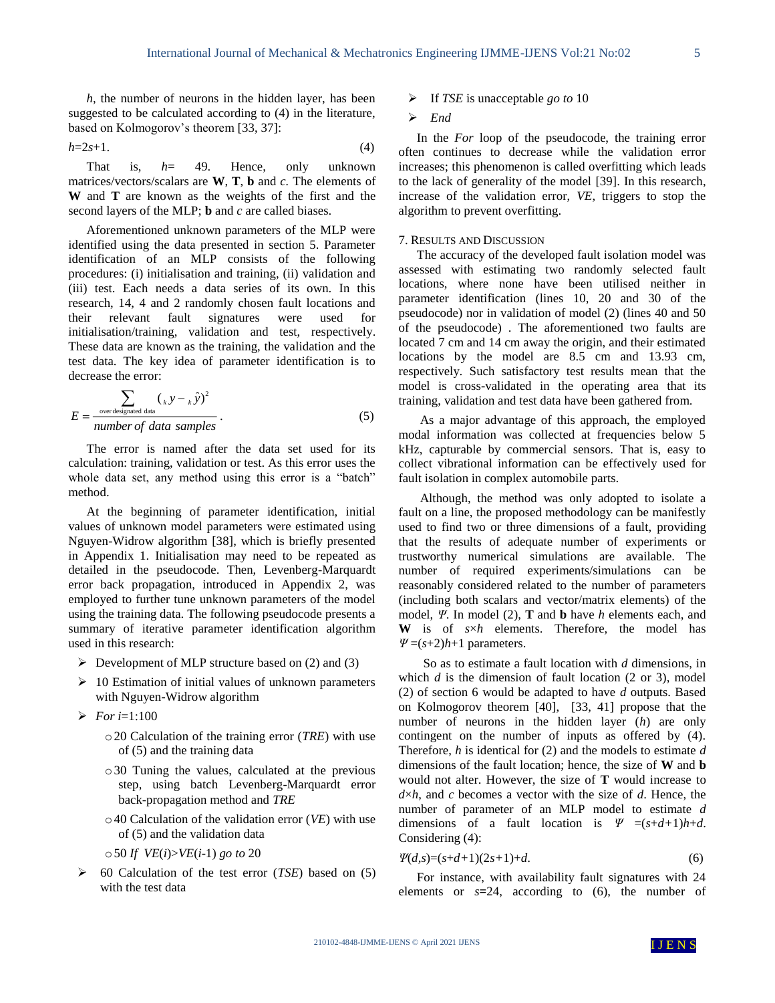*h*, the number of neurons in the hidden layer, has been suggested to be calculated according to (4) in the literature, based on Kolmogorov's theorem [33, 37]:

$$
h=2s+1.\tag{4}
$$

That is, *h*= 49. Hence, only unknown matrices/vectors/scalars are  $W$ ,  $T$ ,  $b$  and  $c$ . The elements of **W** and **T** are known as the weights of the first and the second layers of the MLP; **b** and *c* are called biases.

Aforementioned unknown parameters of the MLP were identified using the data presented in section 5. Parameter identification of an MLP consists of the following procedures: (i) initialisation and training, (ii) validation and (iii) test. Each needs a data series of its own. In this research, 14, 4 and 2 randomly chosen fault locations and their relevant fault signatures were used for initialisation/training, validation and test, respectively. These data are known as the training, the validation and the test data. The key idea of parameter identification is to decrease the error:

$$
E = \frac{\sum_{\text{overdesired data}} ({}_k y - {}_k \hat{y})^2}{number \text{ of data samples}}.
$$
 (5)

The error is named after the data set used for its calculation: training, validation or test. As this error uses the whole data set, any method using this error is a "batch" method.

At the beginning of parameter identification, initial values of unknown model parameters were estimated using Nguyen-Widrow algorithm [38], which is briefly presented in Appendix 1. Initialisation may need to be repeated as detailed in the pseudocode. Then, Levenberg-Marquardt error back propagation, introduced in Appendix 2, was employed to further tune unknown parameters of the model using the training data. The following pseudocode presents a summary of iterative parameter identification algorithm used in this research:

- $\triangleright$  Development of MLP structure based on (2) and (3)
- $\geq 10$  Estimation of initial values of unknown parameters with Nguyen-Widrow algorithm
- *For i*=1:100
	- o20 Calculation of the training error (*TRE*) with use of (5) and the training data
	- o30 Tuning the values, calculated at the previous step, using batch Levenberg-Marquardt error back-propagation method and *TRE*
	- o40 Calculation of the validation error (*VE*) with use of (5) and the validation data
	- o50 *If VE*(*i*)>*VE*(*i*-1) *go to* 20
- 60 Calculation of the test error (*TSE*) based on (5) with the test data

If *TSE* is unacceptable *go to* 10

# *End*

In the *For* loop of the pseudocode, the training error often continues to decrease while the validation error increases; this phenomenon is called overfitting which leads to the lack of generality of the model [39]. In this research, increase of the validation error, *VE*, triggers to stop the algorithm to prevent overfitting.

## 7. RESULTS AND DISCUSSION

The accuracy of the developed fault isolation model was assessed with estimating two randomly selected fault locations, where none have been utilised neither in parameter identification (lines 10, 20 and 30 of the pseudocode) nor in validation of model (2) (lines 40 and 50 of the pseudocode) . The aforementioned two faults are located 7 cm and 14 cm away the origin, and their estimated locations by the model are 8.5 cm and 13.93 cm, respectively. Such satisfactory test results mean that the model is cross-validated in the operating area that its training, validation and test data have been gathered from.

As a major advantage of this approach, the employed modal information was collected at frequencies below 5 kHz, capturable by commercial sensors. That is, easy to collect vibrational information can be effectively used for fault isolation in complex automobile parts.

Although, the method was only adopted to isolate a fault on a line, the proposed methodology can be manifestly used to find two or three dimensions of a fault, providing that the results of adequate number of experiments or trustworthy numerical simulations are available. The number of required experiments/simulations can be reasonably considered related to the number of parameters (including both scalars and vector/matrix elements) of the model, *Ψ*. In model (2), **T** and **b** have *h* elements each, and **W** is of *s*×*h* elements. Therefore, the model has *Ψ* =(*s*+2)*h*+1 parameters.

 So as to estimate a fault location with *d* dimensions, in which *d* is the dimension of fault location (2 or 3), model (2) of section 6 would be adapted to have *d* outputs. Based on Kolmogorov theorem [40], [33, 41] propose that the number of neurons in the hidden layer (*h*) are only contingent on the number of inputs as offered by (4). Therefore, *h* is identical for (2) and the models to estimate *d* dimensions of the fault location; hence, the size of **W** and **b** would not alter. However, the size of **T** would increase to  $d \times h$ , and *c* becomes a vector with the size of *d*. Hence, the number of parameter of an MLP model to estimate *d* dimensions of a fault location is  $\Psi = (s+d+1)h+d$ . Considering (4):

$$
\Psi(d,s)=(s+d+1)(2s+1)+d.\tag{6}
$$

For instance, with availability fault signatures with 24 elements or *s***=**24, according to (6), the number of

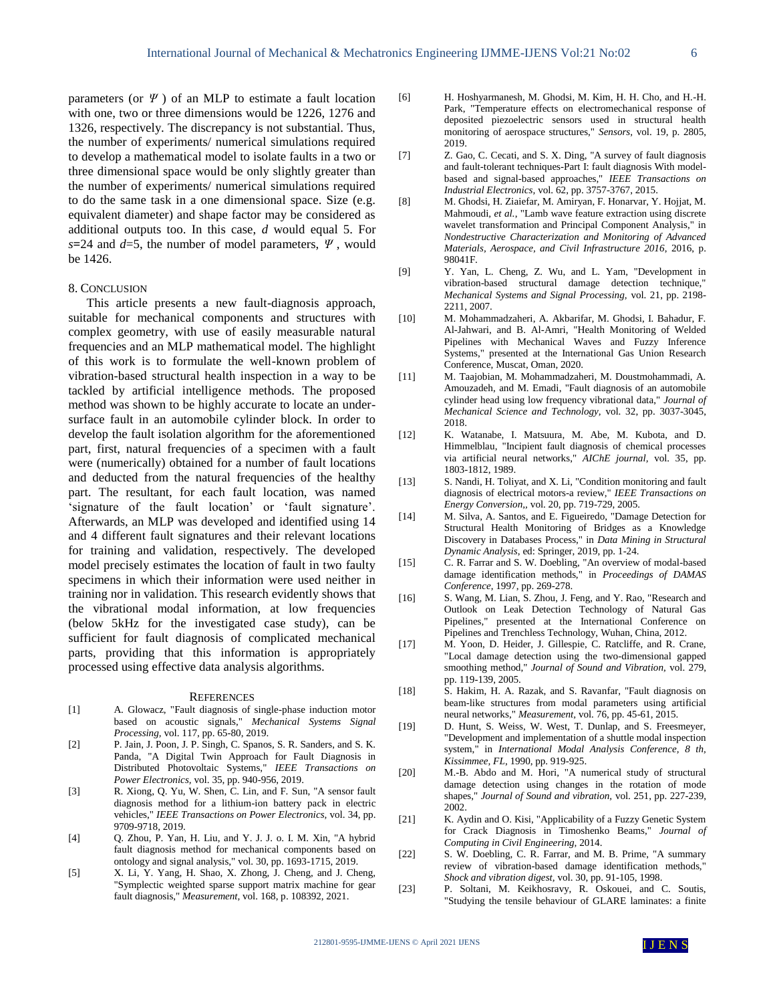parameters (or *Ψ* ) of an MLP to estimate a fault location with one, two or three dimensions would be 1226, 1276 and 1326, respectively. The discrepancy is not substantial. Thus, the number of experiments/ numerical simulations required to develop a mathematical model to isolate faults in a two or three dimensional space would be only slightly greater than the number of experiments/ numerical simulations required to do the same task in a one dimensional space. Size (e.g. equivalent diameter) and shape factor may be considered as additional outputs too. In this case, *d* would equal 5. For *s***=**24 and *d*=5, the number of model parameters, *Ψ* , would be 1426.

## 8. CONCLUSION

This article presents a new fault-diagnosis approach, suitable for mechanical components and structures with complex geometry, with use of easily measurable natural frequencies and an MLP mathematical model. The highlight of this work is to formulate the well-known problem of vibration-based structural health inspection in a way to be tackled by artificial intelligence methods. The proposed method was shown to be highly accurate to locate an undersurface fault in an automobile cylinder block. In order to develop the fault isolation algorithm for the aforementioned part, first, natural frequencies of a specimen with a fault were (numerically) obtained for a number of fault locations and deducted from the natural frequencies of the healthy part. The resultant, for each fault location, was named 'signature of the fault location' or 'fault signature'. Afterwards, an MLP was developed and identified using 14 and 4 different fault signatures and their relevant locations for training and validation, respectively. The developed model precisely estimates the location of fault in two faulty specimens in which their information were used neither in training nor in validation. This research evidently shows that the vibrational modal information, at low frequencies (below 5kHz for the investigated case study), can be sufficient for fault diagnosis of complicated mechanical parts, providing that this information is appropriately processed using effective data analysis algorithms.

#### **REFERENCES**

- [1] A. Glowacz, "Fault diagnosis of single-phase induction motor based on acoustic signals," *Mechanical Systems Signal Processing,* vol. 117, pp. 65-80, 2019.
- [2] P. Jain, J. Poon, J. P. Singh, C. Spanos, S. R. Sanders, and S. K. Panda, "A Digital Twin Approach for Fault Diagnosis in Distributed Photovoltaic Systems," *IEEE Transactions on Power Electronics,* vol. 35, pp. 940-956, 2019.
- [3] R. Xiong, Q. Yu, W. Shen, C. Lin, and F. Sun, "A sensor fault diagnosis method for a lithium-ion battery pack in electric vehicles," *IEEE Transactions on Power Electronics,* vol. 34, pp. 9709-9718, 2019.
- [4] Q. Zhou, P. Yan, H. Liu, and Y. J. J. o. I. M. Xin, "A hybrid fault diagnosis method for mechanical components based on ontology and signal analysis," vol. 30, pp. 1693-1715, 2019.
- [5] X. Li, Y. Yang, H. Shao, X. Zhong, J. Cheng, and J. Cheng, "Symplectic weighted sparse support matrix machine for gear fault diagnosis," *Measurement,* vol. 168, p. 108392, 2021.
- [6] H. Hoshyarmanesh, M. Ghodsi, M. Kim, H. H. Cho, and H.-H. Park, "Temperature effects on electromechanical response of deposited piezoelectric sensors used in structural health monitoring of aerospace structures," *Sensors,* vol. 19, p. 2805, 2019.
- [7] Z. Gao, C. Cecati, and S. X. Ding, "A survey of fault diagnosis and fault-tolerant techniques-Part I: fault diagnosis With modelbased and signal-based approaches," *IEEE Transactions on Industrial Electronics,* vol. 62, pp. 3757-3767, 2015.
- [8] M. Ghodsi, H. Ziaiefar, M. Amiryan, F. Honarvar, Y. Hojjat, M. Mahmoudi*, et al.*, "Lamb wave feature extraction using discrete wavelet transformation and Principal Component Analysis," in *Nondestructive Characterization and Monitoring of Advanced Materials, Aerospace, and Civil Infrastructure 2016*, 2016, p. 98041F.
- [9] Y. Yan, L. Cheng, Z. Wu, and L. Yam, "Development in vibration-based structural damage detection technique," *Mechanical Systems and Signal Processing,* vol. 21, pp. 2198- 2211, 2007.
- [10] M. Mohammadzaheri, A. Akbarifar, M. Ghodsi, I. Bahadur, F. Al-Jahwari, and B. Al-Amri, "Health Monitoring of Welded Pipelines with Mechanical Waves and Fuzzy Inference Systems," presented at the International Gas Union Research Conference, Muscat, Oman, 2020.
- [11] M. Taajobian, M. Mohammadzaheri, M. Doustmohammadi, A. Amouzadeh, and M. Emadi, "Fault diagnosis of an automobile cylinder head using low frequency vibrational data," *Journal of Mechanical Science and Technology,* vol. 32, pp. 3037-3045, 2018.
- [12] K. Watanabe, I. Matsuura, M. Abe, M. Kubota, and D. Himmelblau, "Incipient fault diagnosis of chemical processes via artificial neural networks," *AIChE journal,* vol. 35, pp. 1803-1812, 1989.
- [13] S. Nandi, H. Toliyat, and X. Li, "Condition monitoring and fault diagnosis of electrical motors-a review," *IEEE Transactions on Energy Conversion,,* vol. 20, pp. 719-729, 2005.
- [14] M. Silva, A. Santos, and E. Figueiredo, "Damage Detection for Structural Health Monitoring of Bridges as a Knowledge Discovery in Databases Process," in *Data Mining in Structural Dynamic Analysis*, ed: Springer, 2019, pp. 1-24.
- [15] C. R. Farrar and S. W. Doebling, "An overview of modal-based damage identification methods," in *Proceedings of DAMAS Conference*, 1997, pp. 269-278.
- [16] S. Wang, M. Lian, S. Zhou, J. Feng, and Y. Rao, "Research and Outlook on Leak Detection Technology of Natural Gas Pipelines," presented at the International Conference on Pipelines and Trenchless Technology, Wuhan, China, 2012.
- [17] M. Yoon, D. Heider, J. Gillespie, C. Ratcliffe, and R. Crane, "Local damage detection using the two-dimensional gapped smoothing method," *Journal of Sound and Vibration,* vol. 279, pp. 119-139, 2005.
- [18] S. Hakim, H. A. Razak, and S. Ravanfar, "Fault diagnosis on beam-like structures from modal parameters using artificial neural networks," *Measurement,* vol. 76, pp. 45-61, 2015.
- [19] D. Hunt, S. Weiss, W. West, T. Dunlap, and S. Freesmeyer, "Development and implementation of a shuttle modal inspection system," in *International Modal Analysis Conference, 8 th, Kissimmee, FL*, 1990, pp. 919-925.
- [20] M.-B. Abdo and M. Hori, "A numerical study of structural damage detection using changes in the rotation of mode shapes," *Journal of Sound and vibration,* vol. 251, pp. 227-239, 2002.
- [21] K. Aydin and O. Kisi, "Applicability of a Fuzzy Genetic System for Crack Diagnosis in Timoshenko Beams," *Journal of Computing in Civil Engineering,* 2014.
- [22] S. W. Doebling, C. R. Farrar, and M. B. Prime, "A summary review of vibration-based damage identification methods," *Shock and vibration digest,* vol. 30, pp. 91-105, 1998.
- [23] P. Soltani, M. Keikhosravy, R. Oskouei, and C. Soutis, "Studying the tensile behaviour of GLARE laminates: a finite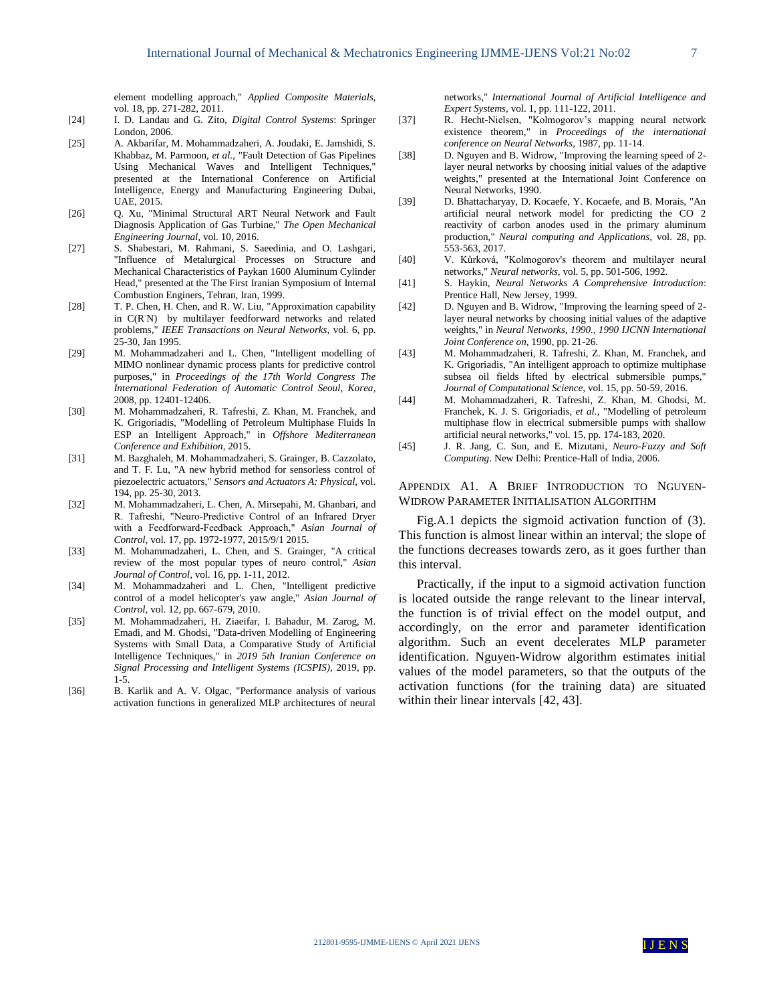element modelling approach," *Applied Composite Materials,*  vol. 18, pp. 271-282, 2011.

- [24] I. D. Landau and G. Zito, *Digital Control Systems*: Springer London, 2006.
- [25] A. Akbarifar, M. Mohammadzaheri, A. Joudaki, E. Jamshidi, S. Khabbaz, M. Parmoon*, et al.*, "Fault Detection of Gas Pipelines Using Mechanical Waves and Intelligent Techniques," presented at the International Conference on Artificial Intelligence, Energy and Manufacturing Engineering Dubai, UAE, 2015.
- [26] O. Xu, "Minimal Structural ART Neural Network and Fault Diagnosis Application of Gas Turbine," *The Open Mechanical Engineering Journal,* vol. 10, 2016.
- [27] S. Shabestari, M. Rahmani, S. Saeedinia, and O. Lashgari, "Influence of Metalurgical Processes on Structure and Mechanical Characteristics of Paykan 1600 Aluminum Cylinder Head," presented at the The First Iranian Symposium of Internal Combustion Enginers, Tehran, Iran, 1999.
- [28] T. P. Chen, H. Chen, and R. W. Liu, "Approximation capability in C(R-N) by multilayer feedforward networks and related problems," *IEEE Transactions on Neural Networks,* vol. 6, pp. 25-30, Jan 1995.
- [29] M. Mohammadzaheri and L. Chen, "Intelligent modelling of MIMO nonlinear dynamic process plants for predictive control purposes," in *Proceedings of the 17th World Congress The International Federation of Automatic Control Seoul, Korea*, 2008, pp. 12401-12406.
- [30] M. Mohammadzaheri, R. Tafreshi, Z. Khan, M. Franchek, and K. Grigoriadis, "Modelling of Petroleum Multiphase Fluids In ESP an Intelligent Approach," in *Offshore Mediterranean Conference and Exhibition*, 2015.
- [31] M. Bazghaleh, M. Mohammadzaheri, S. Grainger, B. Cazzolato, and T. F. Lu, "A new hybrid method for sensorless control of piezoelectric actuators," *Sensors and Actuators A: Physical,* vol. 194, pp. 25-30, 2013.
- [32] M. Mohammadzaheri, L. Chen, A. Mirsepahi, M. Ghanbari, and R. Tafreshi, "Neuro‐Predictive Control of an Infrared Dryer with a Feedforward‐Feedback Approach," *Asian Journal of Control,* vol. 17, pp. 1972-1977, 2015/9/1 2015.
- [33] M. Mohammadzaheri, L. Chen, and S. Grainger, "A critical review of the most popular types of neuro control," *Asian Journal of Control,* vol. 16, pp. 1-11, 2012.
- [34] M. Mohammadzaheri and L. Chen, "Intelligent predictive control of a model helicopter's yaw angle," *Asian Journal of Control,* vol. 12, pp. 667-679, 2010.
- [35] M. Mohammadzaheri, H. Ziaeifar, I. Bahadur, M. Zarog, M. Emadi, and M. Ghodsi, "Data-driven Modelling of Engineering Systems with Small Data, a Comparative Study of Artificial Intelligence Techniques," in *2019 5th Iranian Conference on Signal Processing and Intelligent Systems (ICSPIS)*, 2019, pp. 1-5.
- [36] B. Karlik and A. V. Olgac, "Performance analysis of various activation functions in generalized MLP architectures of neural

networks," *International Journal of Artificial Intelligence and Expert Systems,* vol. 1, pp. 111-122, 2011.

- [37] R. Hecht-Nielsen, "Kolmogorov's mapping neural network existence theorem," in *Proceedings of the international conference on Neural Networks*, 1987, pp. 11-14.
- [38] D. Nguyen and B. Widrow, "Improving the learning speed of 2 layer neural networks by choosing initial values of the adaptive weights," presented at the International Joint Conference on Neural Networks, 1990.
- [39] D. Bhattacharyay, D. Kocaefe, Y. Kocaefe, and B. Morais, "An artificial neural network model for predicting the CO 2 reactivity of carbon anodes used in the primary aluminum production," *Neural computing and Applications,* vol. 28, pp. 553-563, 2017.
- [40] V. Kůrková, "Kolmogorov's theorem and multilayer neural networks," *Neural networks,* vol. 5, pp. 501-506, 1992.
- [41] S. Haykin, *Neural Networks A Comprehensive Introduction*: Prentice Hall, New Jersey, 1999.
- [42] D. Nguyen and B. Widrow, "Improving the learning speed of 2layer neural networks by choosing initial values of the adaptive weights," in *Neural Networks, 1990., 1990 IJCNN International Joint Conference on*, 1990, pp. 21-26.
- [43] M. Mohammadzaheri, R. Tafreshi, Z. Khan, M. Franchek, and K. Grigoriadis, "An intelligent approach to optimize multiphase subsea oil fields lifted by electrical submersible pumps," *Journal of Computational Science,* vol. 15, pp. 50-59, 2016.
- [44] M. Mohammadzaheri, R. Tafreshi, Z. Khan, M. Ghodsi, M. Franchek, K. J. S. Grigoriadis*, et al.*, "Modelling of petroleum multiphase flow in electrical submersible pumps with shallow artificial neural networks," vol. 15, pp. 174-183, 2020.
- [45] J. R. Jang, C. Sun, and E. Mizutani, *Neuro-Fuzzy and Soft Computing*. New Delhi: Prentice-Hall of India, 2006.

## APPENDIX A1. A BRIEF INTRODUCTION TO NGUYEN-WIDROW PARAMETER INITIALISATION ALGORITHM

Fig.A.1 depicts the sigmoid activation function of (3). This function is almost linear within an interval; the slope of the functions decreases towards zero, as it goes further than this interval.

Practically, if the input to a sigmoid activation function is located outside the range relevant to the linear interval, the function is of trivial effect on the model output, and accordingly, on the error and parameter identification algorithm. Such an event decelerates MLP parameter identification. Nguyen-Widrow algorithm estimates initial values of the model parameters, so that the outputs of the activation functions (for the training data) are situated within their linear intervals [42, 43].